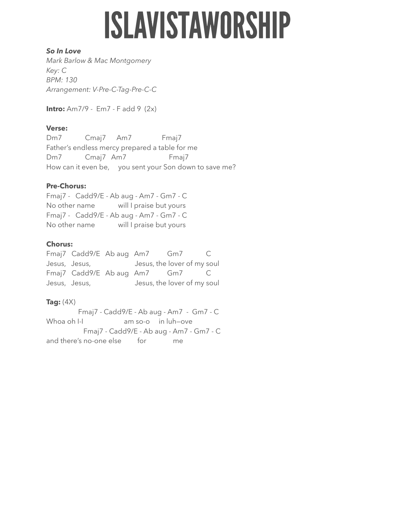# **ISLAVISTAWORSHIP**

#### *So In Love*

*Mark Barlow & Mac Montgomery Key: C BPM: 130 Arrangement: V-Pre-C-Tag-Pre-C-C*

**Intro:** Am7/9 - Em7 - F add 9 (2x)

# **Verse:**

Dm7 Cmaj7 Am7 Fmaj7 Father's endless mercy prepared a table for me Dm7 Cmaj7 Am7 Fmaj7 How can it even be, you sent your Son down to save me?

# **Pre-Chorus:**

Fmaj7 - Cadd9/E - Ab aug - Am7 - Gm7 - C No other name will I praise but yours Fmaj7 - Cadd9/E - Ab aug - Am7 - Gm7 - C No other name will I praise but yours

#### **Chorus:**

Fmaj7 Cadd9/E Ab aug Am7 Gm7 C Jesus, Jesus, Jesus, the lover of my soul Fmaj7 Cadd9/E Ab aug Am7 Gm7 C Jesus, Jesus, Jesus, the lover of my soul

# **Tag:**  $(4X)$

Fmaj7 - Cadd9/E - Ab aug - Am7 - Gm7 - C Whoa oh I-I am so-o in luh-ove Fmaj7 - Cadd9/E - Ab aug - Am7 - Gm7 - C and there's no-one else for me